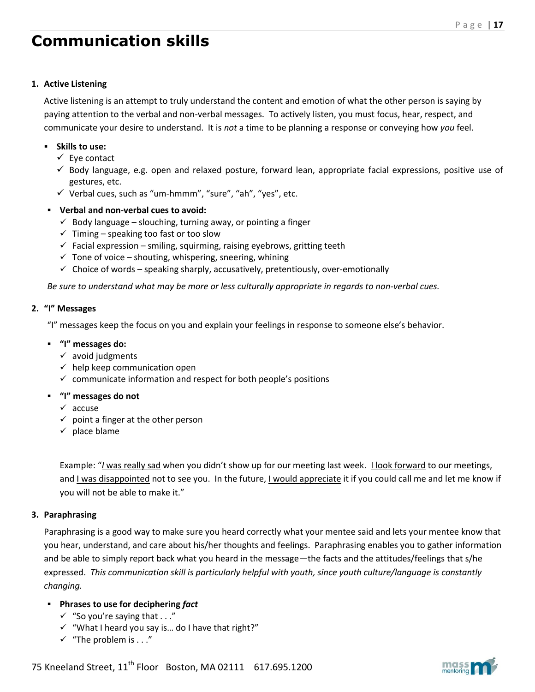### **1. Active Listening**

Active listening is an attempt to truly understand the content and emotion of what the other person is saying by paying attention to the verbal and non-verbal messages. To actively listen, you must focus, hear, respect, and communicate your desire to understand. It is *not* a time to be planning a response or conveying how *you* feel.

## **Skills to use:**

- $\checkmark$  Eye contact
- $\checkmark$  Body language, e.g. open and relaxed posture, forward lean, appropriate facial expressions, positive use of gestures, etc.
- $\checkmark$  Verbal cues, such as "um-hmmm", "sure", "ah", "yes", etc.
- **Verbal and non-verbal cues to avoid:**
	- $\checkmark$  Body language slouching, turning away, or pointing a finger
	- $\checkmark$  Timing speaking too fast or too slow
	- $\checkmark$  Facial expression smiling, squirming, raising eyebrows, gritting teeth
	- $\checkmark$  Tone of voice shouting, whispering, sneering, whining
	- $\checkmark$  Choice of words speaking sharply, accusatively, pretentiously, over-emotionally

*Be sure to understand what may be more or less culturally appropriate in regards to non-verbal cues.* 

### **2. "I" Messages**

"I" messages keep the focus on you and explain your feelings in response to someone else's behavior.

- **"I" messages do:**
	- $\checkmark$  avoid judgments
	- $\checkmark$  help keep communication open
	- $\checkmark$  communicate information and respect for both people's positions
- **"I" messages do not**
	- $\checkmark$  accuse
	- $\checkmark$  point a finger at the other person
	- $\checkmark$  place blame

Example: "*I* was really sad when you didn't show up for our meeting last week. I look forward to our meetings, and I was disappointed not to see you. In the future, I would appreciate it if you could call me and let me know if you will not be able to make it."

# **3. Paraphrasing**

Paraphrasing is a good way to make sure you heard correctly what your mentee said and lets your mentee know that you hear, understand, and care about his/her thoughts and feelings. Paraphrasing enables you to gather information and be able to simply report back what you heard in the message—the facts and the attitudes/feelings that s/he expressed. *This communication skill is particularly helpful with youth, since youth culture/language is constantly changing.*

# **Phrases to use for deciphering** *fact*

- $\checkmark$  "So you're saying that . . ."
- $\checkmark$  "What I heard you say is... do I have that right?"
- $\checkmark$  "The problem is . . ."